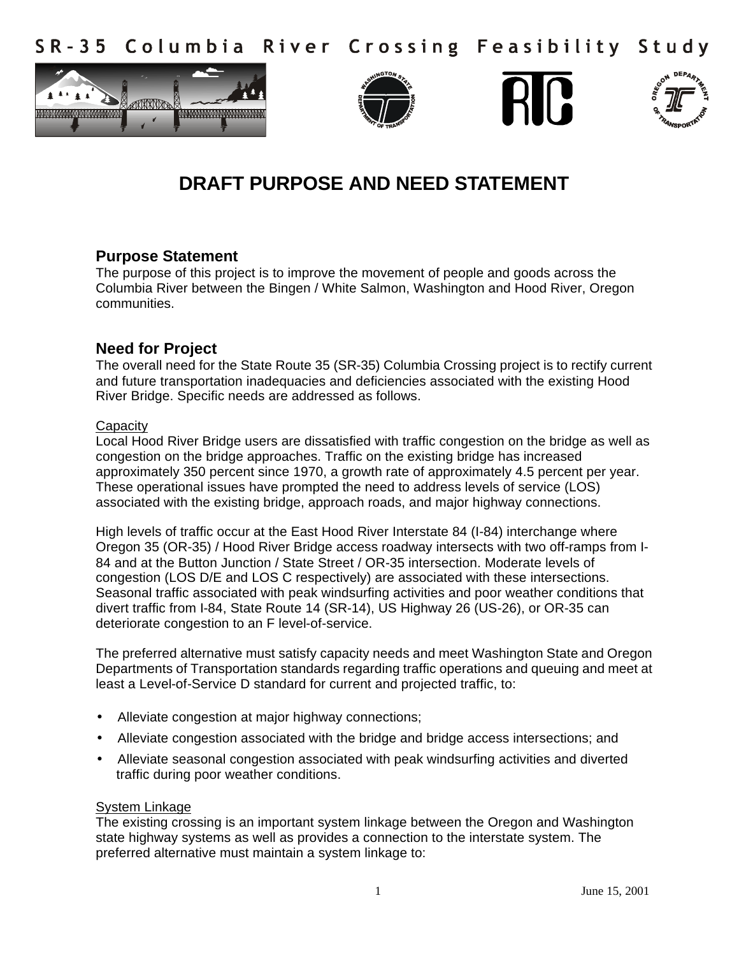Columbia River Crossing Feasibility Study  $S$  R - 3.5









# **DRAFT PURPOSE AND NEED STATEMENT**

# **Purpose Statement**

The purpose of this project is to improve the movement of people and goods across the Columbia River between the Bingen / White Salmon, Washington and Hood River, Oregon communities.

# **Need for Project**

The overall need for the State Route 35 (SR-35) Columbia Crossing project is to rectify current and future transportation inadequacies and deficiencies associated with the existing Hood River Bridge. Specific needs are addressed as follows.

# **Capacity**

Local Hood River Bridge users are dissatisfied with traffic congestion on the bridge as well as congestion on the bridge approaches. Traffic on the existing bridge has increased approximately 350 percent since 1970, a growth rate of approximately 4.5 percent per year. These operational issues have prompted the need to address levels of service (LOS) associated with the existing bridge, approach roads, and major highway connections.

High levels of traffic occur at the East Hood River Interstate 84 (I-84) interchange where Oregon 35 (OR-35) / Hood River Bridge access roadway intersects with two off-ramps from I-84 and at the Button Junction / State Street / OR-35 intersection. Moderate levels of congestion (LOS D/E and LOS C respectively) are associated with these intersections. Seasonal traffic associated with peak windsurfing activities and poor weather conditions that divert traffic from I-84, State Route 14 (SR-14), US Highway 26 (US-26), or OR-35 can deteriorate congestion to an F level-of-service.

The preferred alternative must satisfy capacity needs and meet Washington State and Oregon Departments of Transportation standards regarding traffic operations and queuing and meet at least a Level-of-Service D standard for current and projected traffic, to:

- Alleviate congestion at major highway connections;
- Alleviate congestion associated with the bridge and bridge access intersections; and
- Alleviate seasonal congestion associated with peak windsurfing activities and diverted traffic during poor weather conditions.

# System Linkage

The existing crossing is an important system linkage between the Oregon and Washington state highway systems as well as provides a connection to the interstate system. The preferred alternative must maintain a system linkage to: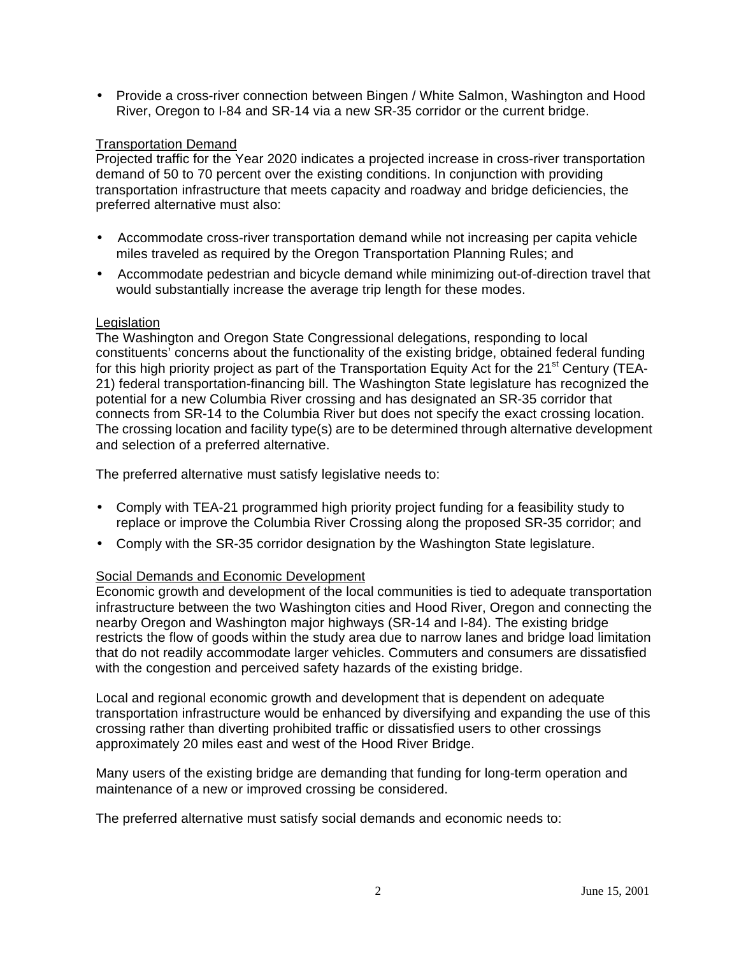• Provide a cross-river connection between Bingen / White Salmon, Washington and Hood River, Oregon to I-84 and SR-14 via a new SR-35 corridor or the current bridge.

#### Transportation Demand

Projected traffic for the Year 2020 indicates a projected increase in cross-river transportation demand of 50 to 70 percent over the existing conditions. In conjunction with providing transportation infrastructure that meets capacity and roadway and bridge deficiencies, the preferred alternative must also:

- Accommodate cross-river transportation demand while not increasing per capita vehicle miles traveled as required by the Oregon Transportation Planning Rules; and
- Accommodate pedestrian and bicycle demand while minimizing out-of-direction travel that would substantially increase the average trip length for these modes.

#### **Legislation**

The Washington and Oregon State Congressional delegations, responding to local constituents' concerns about the functionality of the existing bridge, obtained federal funding for this high priority project as part of the Transportation Equity Act for the  $21<sup>st</sup>$  Century (TEA-21) federal transportation-financing bill. The Washington State legislature has recognized the potential for a new Columbia River crossing and has designated an SR-35 corridor that connects from SR-14 to the Columbia River but does not specify the exact crossing location. The crossing location and facility type(s) are to be determined through alternative development and selection of a preferred alternative.

The preferred alternative must satisfy legislative needs to:

- Comply with TEA-21 programmed high priority project funding for a feasibility study to replace or improve the Columbia River Crossing along the proposed SR-35 corridor; and
- Comply with the SR-35 corridor designation by the Washington State legislature.

# Social Demands and Economic Development

Economic growth and development of the local communities is tied to adequate transportation infrastructure between the two Washington cities and Hood River, Oregon and connecting the nearby Oregon and Washington major highways (SR-14 and I-84). The existing bridge restricts the flow of goods within the study area due to narrow lanes and bridge load limitation that do not readily accommodate larger vehicles. Commuters and consumers are dissatisfied with the congestion and perceived safety hazards of the existing bridge.

Local and regional economic growth and development that is dependent on adequate transportation infrastructure would be enhanced by diversifying and expanding the use of this crossing rather than diverting prohibited traffic or dissatisfied users to other crossings approximately 20 miles east and west of the Hood River Bridge.

Many users of the existing bridge are demanding that funding for long-term operation and maintenance of a new or improved crossing be considered.

The preferred alternative must satisfy social demands and economic needs to: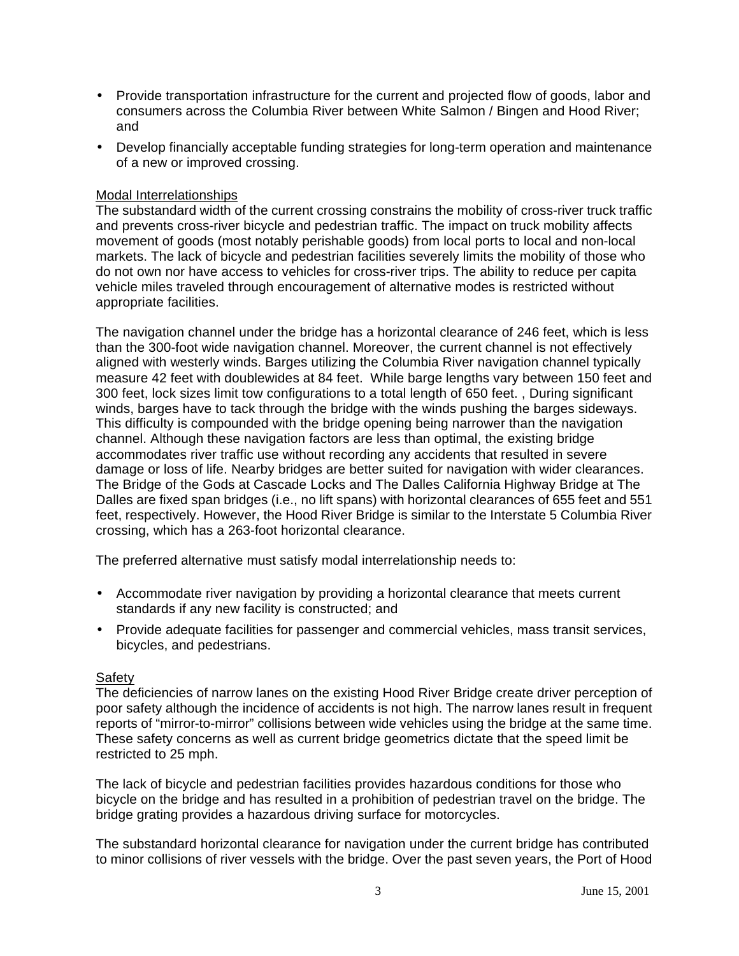- Provide transportation infrastructure for the current and projected flow of goods, labor and consumers across the Columbia River between White Salmon / Bingen and Hood River; and
- Develop financially acceptable funding strategies for long-term operation and maintenance of a new or improved crossing.

#### Modal Interrelationships

The substandard width of the current crossing constrains the mobility of cross-river truck traffic and prevents cross-river bicycle and pedestrian traffic. The impact on truck mobility affects movement of goods (most notably perishable goods) from local ports to local and non-local markets. The lack of bicycle and pedestrian facilities severely limits the mobility of those who do not own nor have access to vehicles for cross-river trips. The ability to reduce per capita vehicle miles traveled through encouragement of alternative modes is restricted without appropriate facilities.

The navigation channel under the bridge has a horizontal clearance of 246 feet, which is less than the 300-foot wide navigation channel. Moreover, the current channel is not effectively aligned with westerly winds. Barges utilizing the Columbia River navigation channel typically measure 42 feet with doublewides at 84 feet. While barge lengths vary between 150 feet and 300 feet, lock sizes limit tow configurations to a total length of 650 feet. , During significant winds, barges have to tack through the bridge with the winds pushing the barges sideways. This difficulty is compounded with the bridge opening being narrower than the navigation channel. Although these navigation factors are less than optimal, the existing bridge accommodates river traffic use without recording any accidents that resulted in severe damage or loss of life. Nearby bridges are better suited for navigation with wider clearances. The Bridge of the Gods at Cascade Locks and The Dalles California Highway Bridge at The Dalles are fixed span bridges (i.e., no lift spans) with horizontal clearances of 655 feet and 551 feet, respectively. However, the Hood River Bridge is similar to the Interstate 5 Columbia River crossing, which has a 263-foot horizontal clearance.

The preferred alternative must satisfy modal interrelationship needs to:

- Accommodate river navigation by providing a horizontal clearance that meets current standards if any new facility is constructed; and
- Provide adequate facilities for passenger and commercial vehicles, mass transit services, bicycles, and pedestrians.

#### Safety

The deficiencies of narrow lanes on the existing Hood River Bridge create driver perception of poor safety although the incidence of accidents is not high. The narrow lanes result in frequent reports of "mirror-to-mirror" collisions between wide vehicles using the bridge at the same time. These safety concerns as well as current bridge geometrics dictate that the speed limit be restricted to 25 mph.

The lack of bicycle and pedestrian facilities provides hazardous conditions for those who bicycle on the bridge and has resulted in a prohibition of pedestrian travel on the bridge. The bridge grating provides a hazardous driving surface for motorcycles.

The substandard horizontal clearance for navigation under the current bridge has contributed to minor collisions of river vessels with the bridge. Over the past seven years, the Port of Hood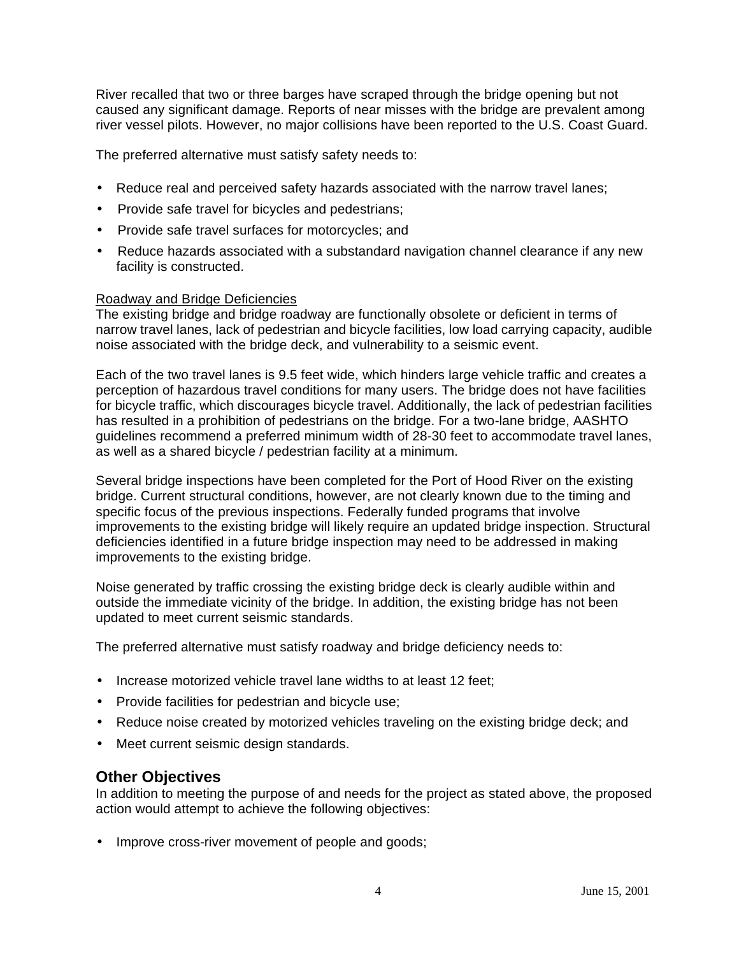River recalled that two or three barges have scraped through the bridge opening but not caused any significant damage. Reports of near misses with the bridge are prevalent among river vessel pilots. However, no major collisions have been reported to the U.S. Coast Guard.

The preferred alternative must satisfy safety needs to:

- Reduce real and perceived safety hazards associated with the narrow travel lanes;
- Provide safe travel for bicycles and pedestrians;
- Provide safe travel surfaces for motorcycles; and
- Reduce hazards associated with a substandard navigation channel clearance if any new facility is constructed.

#### Roadway and Bridge Deficiencies

The existing bridge and bridge roadway are functionally obsolete or deficient in terms of narrow travel lanes, lack of pedestrian and bicycle facilities, low load carrying capacity, audible noise associated with the bridge deck, and vulnerability to a seismic event.

Each of the two travel lanes is 9.5 feet wide, which hinders large vehicle traffic and creates a perception of hazardous travel conditions for many users. The bridge does not have facilities for bicycle traffic, which discourages bicycle travel. Additionally, the lack of pedestrian facilities has resulted in a prohibition of pedestrians on the bridge. For a two-lane bridge, AASHTO guidelines recommend a preferred minimum width of 28-30 feet to accommodate travel lanes, as well as a shared bicycle / pedestrian facility at a minimum.

Several bridge inspections have been completed for the Port of Hood River on the existing bridge. Current structural conditions, however, are not clearly known due to the timing and specific focus of the previous inspections. Federally funded programs that involve improvements to the existing bridge will likely require an updated bridge inspection. Structural deficiencies identified in a future bridge inspection may need to be addressed in making improvements to the existing bridge.

Noise generated by traffic crossing the existing bridge deck is clearly audible within and outside the immediate vicinity of the bridge. In addition, the existing bridge has not been updated to meet current seismic standards.

The preferred alternative must satisfy roadway and bridge deficiency needs to:

- Increase motorized vehicle travel lane widths to at least 12 feet;
- Provide facilities for pedestrian and bicycle use;
- Reduce noise created by motorized vehicles traveling on the existing bridge deck; and
- Meet current seismic design standards.

# **Other Objectives**

In addition to meeting the purpose of and needs for the project as stated above, the proposed action would attempt to achieve the following objectives:

• Improve cross-river movement of people and goods;